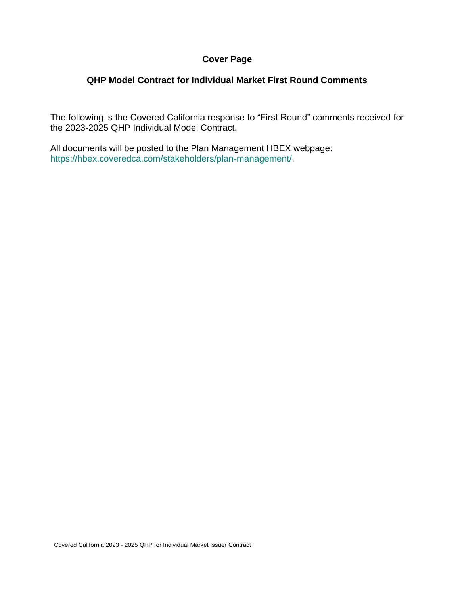# **Cover Page**

## **QHP Model Contract for Individual Market First Round Comments**

The following is the Covered California response to "First Round" comments received for the 2023-2025 QHP Individual Model Contract.

All documents will be posted to the Plan Management HBEX webpage: https://hbex.coveredca.com/stakeholders/plan-management/.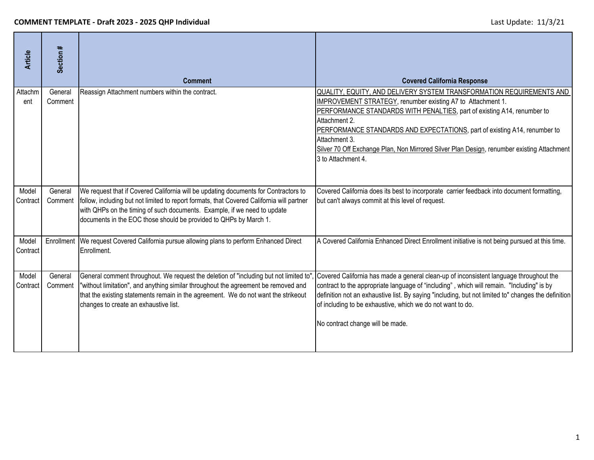| <b>Article</b>    | Section #          | <b>Comment</b>                                                                                                                                                                                                                                                                                                                    | <b>Covered California Response</b>                                                                                                                                                                                                                                                                                                                                                                                                                       |
|-------------------|--------------------|-----------------------------------------------------------------------------------------------------------------------------------------------------------------------------------------------------------------------------------------------------------------------------------------------------------------------------------|----------------------------------------------------------------------------------------------------------------------------------------------------------------------------------------------------------------------------------------------------------------------------------------------------------------------------------------------------------------------------------------------------------------------------------------------------------|
| Attachm<br>ent    | General<br>Comment | Reassign Attachment numbers within the contract.                                                                                                                                                                                                                                                                                  | QUALITY, EQUITY, AND DELIVERY SYSTEM TRANSFORMATION REQUIREMENTS AND<br><b>IMPROVEMENT STRATEGY, renumber existing A7 to Attachment 1.</b><br>PERFORMANCE STANDARDS WITH PENALTIES, part of existing A14, renumber to<br>Attachment 2.<br>PERFORMANCE STANDARDS AND EXPECTATIONS, part of existing A14, renumber to<br>Attachment 3.<br>Silver 70 Off Exchange Plan, Non Mirrored Silver Plan Design, renumber existing Attachment<br>3 to Attachment 4. |
| Model<br>Contract | General<br>Comment | We request that if Covered California will be updating documents for Contractors to<br>follow, including but not limited to report formats, that Covered California will partner<br>with QHPs on the timing of such documents. Example, if we need to update<br>documents in the EOC those should be provided to QHPs by March 1. | Covered California does its best to incorporate carrier feedback into document formatting,<br>but can't always commit at this level of request.                                                                                                                                                                                                                                                                                                          |
| Model<br>Contract |                    | Enrollment   We request Covered California pursue allowing plans to perform Enhanced Direct<br>Enrollment.                                                                                                                                                                                                                        | A Covered California Enhanced Direct Enrollment initiative is not being pursued at this time.                                                                                                                                                                                                                                                                                                                                                            |
| Model<br>Contract | General<br>Comment | General comment throughout. We request the deletion of "including but not limited to"<br>"without limitation", and anything similar throughout the agreement be removed and<br>that the existing statements remain in the agreement. We do not want the strikeout<br>changes to create an exhaustive list.                        | Covered California has made a general clean-up of inconsistent language throughout the<br>contract to the appropriate language of "including", which will remain. "Including" is by<br>definition not an exhaustive list. By saying "including, but not limited to" changes the definition<br>of including to be exhaustive, which we do not want to do.<br>No contract change will be made.                                                             |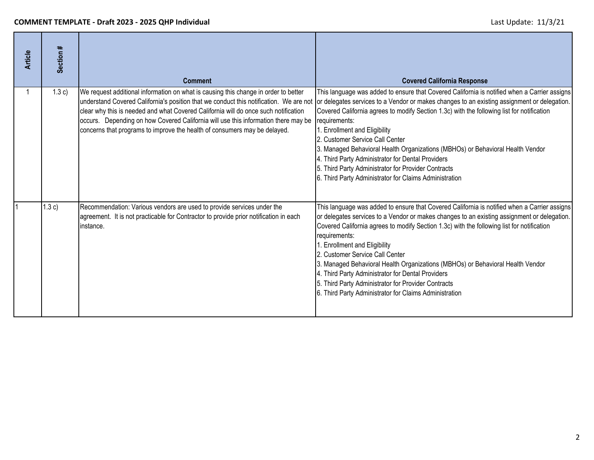| <b>Article</b> | Section # | <b>Comment</b>                                                                                                                                                                                                                                                                                                                                                                                                                          | <b>Covered California Response</b>                                                                                                                                                                                                                                                                                                                                                                                                                                                                                                                                                                                                     |
|----------------|-----------|-----------------------------------------------------------------------------------------------------------------------------------------------------------------------------------------------------------------------------------------------------------------------------------------------------------------------------------------------------------------------------------------------------------------------------------------|----------------------------------------------------------------------------------------------------------------------------------------------------------------------------------------------------------------------------------------------------------------------------------------------------------------------------------------------------------------------------------------------------------------------------------------------------------------------------------------------------------------------------------------------------------------------------------------------------------------------------------------|
|                | 1.3c)     | We request additional information on what is causing this change in order to better<br>understand Covered California's position that we conduct this notification. We are not<br>clear why this is needed and what Covered California will do once such notification<br>occurs. Depending on how Covered California will use this information there may be<br>concerns that programs to improve the health of consumers may be delayed. | This language was added to ensure that Covered California is notified when a Carrier assigns<br>or delegates services to a Vendor or makes changes to an existing assignment or delegation.<br>Covered California agrees to modify Section 1.3c) with the following list for notification<br>requirements:<br>1. Enrollment and Eligibility<br>2. Customer Service Call Center<br>3. Managed Behavioral Health Organizations (MBHOs) or Behavioral Health Vendor<br>4. Third Party Administrator for Dental Providers<br>5. Third Party Administrator for Provider Contracts<br>6. Third Party Administrator for Claims Administration |
|                | 1.3c)     | Recommendation: Various vendors are used to provide services under the<br>agreement. It is not practicable for Contractor to provide prior notification in each<br>instance.                                                                                                                                                                                                                                                            | This language was added to ensure that Covered California is notified when a Carrier assigns<br>or delegates services to a Vendor or makes changes to an existing assignment or delegation.<br>Covered California agrees to modify Section 1.3c) with the following list for notification<br>requirements:<br>. Enrollment and Eligibility<br>2. Customer Service Call Center<br>3. Managed Behavioral Health Organizations (MBHOs) or Behavioral Health Vendor<br>4. Third Party Administrator for Dental Providers<br>5. Third Party Administrator for Provider Contracts<br>6. Third Party Administrator for Claims Administration  |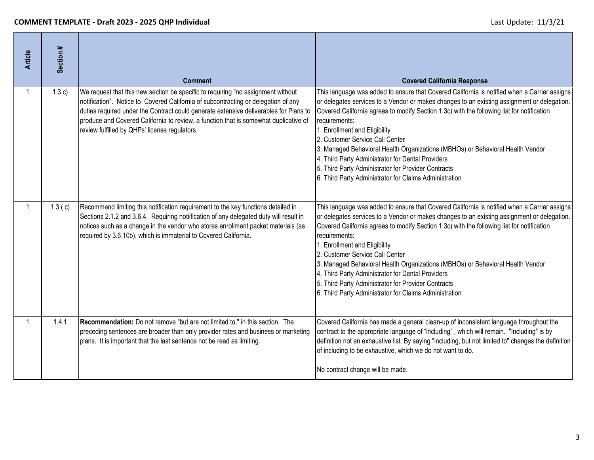| <b>Article</b> | Section # | <b>Comment</b>                                                                                                                                                                                                                                                                                                                                                                                           | <b>Covered California Response</b>                                                                                                                                                                                                                                                                                                                                                                                                                                                                                                                                                                                                     |
|----------------|-----------|----------------------------------------------------------------------------------------------------------------------------------------------------------------------------------------------------------------------------------------------------------------------------------------------------------------------------------------------------------------------------------------------------------|----------------------------------------------------------------------------------------------------------------------------------------------------------------------------------------------------------------------------------------------------------------------------------------------------------------------------------------------------------------------------------------------------------------------------------------------------------------------------------------------------------------------------------------------------------------------------------------------------------------------------------------|
|                | 1.3 c)    | We request that this new section be specific to requiring "no assignment without<br>notification". Notice to Covered California of subcontracting or delegation of any<br>duties required under the Contract could generate extensive deliverables for Plans to<br>produce and Covered California to review, a function that is somewhat duplicative of<br>review fulfilled by QHPs' license regulators. | This language was added to ensure that Covered California is notified when a Carrier assigns<br>or delegates services to a Vendor or makes changes to an existing assignment or delegation.<br>Covered California agrees to modify Section 1.3c) with the following list for notification<br>requirements:<br>1. Enrollment and Eligibility<br>2. Customer Service Call Center<br>3. Managed Behavioral Health Organizations (MBHOs) or Behavioral Health Vendor<br>4. Third Party Administrator for Dental Providers<br>5. Third Party Administrator for Provider Contracts<br>6. Third Party Administrator for Claims Administration |
|                | 1.3(c)    | Recommend limiting this notification requirement to the key functions detailed in<br>Sections 2.1.2 and 3.6.4. Requiring notiification of any delegated duty will result in<br>notices such as a change in the vendor who stores enrollment packet materials (as<br>required by 3.6.10b), which is immaterial to Covered California.                                                                     | This language was added to ensure that Covered California is notified when a Carrier assigns<br>or delegates services to a Vendor or makes changes to an existing assignment or delegation.<br>Covered California agrees to modify Section 1.3c) with the following list for notification<br>requirements:<br>1. Enrollment and Eligibility<br>2. Customer Service Call Center<br>3. Managed Behavioral Health Organizations (MBHOs) or Behavioral Health Vendor<br>4. Third Party Administrator for Dental Providers<br>5. Third Party Administrator for Provider Contracts<br>6. Third Party Administrator for Claims Administration |
| -1             | 1.4.1     | Recommendation: Do not remove "but are not limited to," in this section. The<br>preceding sentences are broader than only provider rates and business or marketing<br>plans. It is important that the last sentence not be read as limiting.                                                                                                                                                             | Covered California has made a general clean-up of inconsistent language throughout the<br>contract to the appropriate language of "including", which will remain. "Including" is by<br>definition not an exhaustive list. By saying "including, but not limited to" changes the definition<br>of including to be exhaustive, which we do not want to do.<br>No contract change will be made.                                                                                                                                                                                                                                           |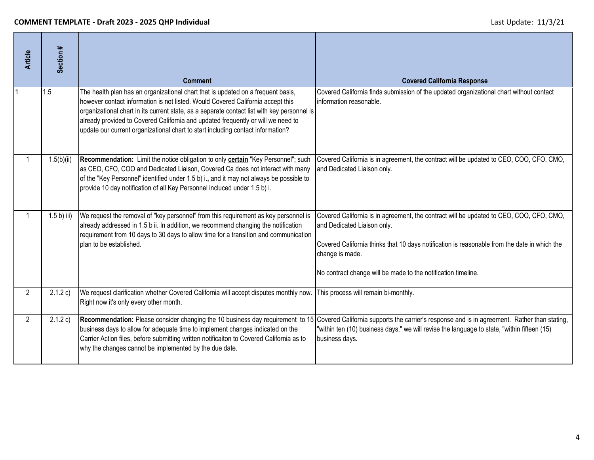| <b>Article</b> | Section #     | <b>Comment</b>                                                                                                                                                                                                                                                                                                                                                                                                                            | <b>Covered California Response</b>                                                                                                                                                                                                                                                                         |
|----------------|---------------|-------------------------------------------------------------------------------------------------------------------------------------------------------------------------------------------------------------------------------------------------------------------------------------------------------------------------------------------------------------------------------------------------------------------------------------------|------------------------------------------------------------------------------------------------------------------------------------------------------------------------------------------------------------------------------------------------------------------------------------------------------------|
|                | 1.5           | The health plan has an organizational chart that is updated on a frequent basis,<br>however contact information is not listed. Would Covered California accept this<br>organizational chart in its current state, as a separate contact list with key personnel is<br>already provided to Covered California and updated frequently or will we need to<br>update our current organizational chart to start including contact information? | Covered California finds submission of the updated organizational chart without contact<br>information reasonable.                                                                                                                                                                                         |
|                | 1.5(b)(ii)    | Recommendation: Limit the notice obligation to only <b>certain</b> "Key Personnel"; such<br>as CEO, CFO, COO and Dedicated Liaison, Covered Ca does not interact with many<br>of the "Key Personnel" identified under 1.5 b) i., and it may not always be possible to<br>provide 10 day notification of all Key Personnel incluced under 1.5 b) i.                                                                                        | Covered California is in agreement, the contract will be updated to CEO, COO, CFO, CMO,<br>and Dedicated Liaison only.                                                                                                                                                                                     |
|                | $1.5 b)$ iii) | We request the removal of "key personnel" from this requirement as key personnel is<br>already addressed in 1.5 b ii. In addition, we recommend changing the notification<br>requirement from 10 days to 30 days to allow time for a transition and communication<br>plan to be established.                                                                                                                                              | Covered California is in agreement, the contract will be updated to CEO, COO, CFO, CMO,<br>and Dedicated Liaison only.<br>Covered California thinks that 10 days notification is reasonable from the date in which the<br>change is made.<br>No contract change will be made to the notification timeline. |
| $\overline{2}$ | 2.1.2 c)      | We request clarification whether Covered California will accept disputes monthly now.<br>Right now it's only every other month.                                                                                                                                                                                                                                                                                                           | This process will remain bi-monthly.                                                                                                                                                                                                                                                                       |
| $\overline{2}$ | 2.1.2 c)      | Recommendation: Please consider changing the 10 business day requirement to 15<br>business days to allow for adequate time to implement changes indicated on the<br>Carrier Action files, before submitting written notificaiton to Covered California as to<br>why the changes cannot be implemented by the due date.                                                                                                                    | Covered California supports the carrier's response and is in agreement. Rather than stating,<br>"within ten (10) business days," we will revise the language to state, "within fifteen (15)<br>business days.                                                                                              |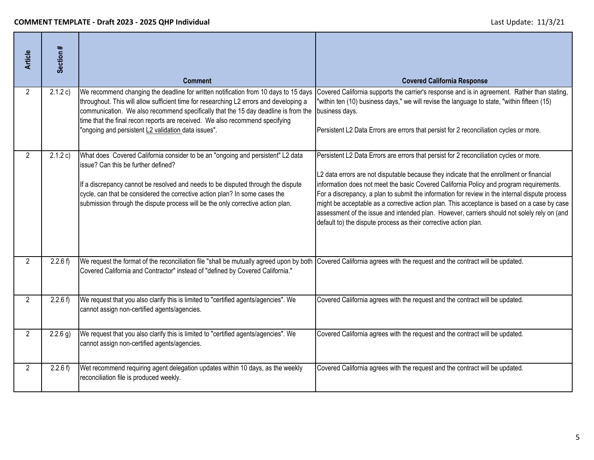| <b>Article</b>       | Section #  | <b>Comment</b>                                                                                                                                                                                                                                                                                                                                                                                             | <b>Covered California Response</b>                                                                                                                                                                                                                                                                                                                                                                                                                                                                                                                                                                                                                |
|----------------------|------------|------------------------------------------------------------------------------------------------------------------------------------------------------------------------------------------------------------------------------------------------------------------------------------------------------------------------------------------------------------------------------------------------------------|---------------------------------------------------------------------------------------------------------------------------------------------------------------------------------------------------------------------------------------------------------------------------------------------------------------------------------------------------------------------------------------------------------------------------------------------------------------------------------------------------------------------------------------------------------------------------------------------------------------------------------------------------|
| $\overline{2}$       | 2.1.2 c)   | We recommend changing the deadline for written notification from 10 days to 15 days<br>throughout. This will allow sufficient time for researching L2 errors and developing a<br>communication. We also recommend specifically that the 15 day deadline is from the<br>time that the final recon reports are received. We also recommend specifying<br>"ongoing and persistent L2 validation data issues". | Covered California supports the carrier's response and is in agreement. Rather than stating,<br>"within ten (10) business days," we will revise the language to state, "within fifteen (15)<br>business days.<br>Persistent L2 Data Errors are errors that persist for 2 reconciliation cycles or more.                                                                                                                                                                                                                                                                                                                                           |
| 2                    | 2.1.2 c)   | What does Covered California consider to be an "ongoing and persistent" L2 data<br>issue? Can this be further defined?<br>If a discrepancy cannot be resolved and needs to be disputed through the dispute<br>cycle, can that be considered the corrective action plan? In some cases the<br>submission through the dispute process will be the only corrective action plan.                               | Persistent L2 Data Errors are errors that persist for 2 reconciliation cycles or more.<br>L2 data errors are not disputable because they indicate that the enrollment or financial<br>information does not meet the basic Covered California Policy and program requirements.<br>For a discrepancy, a plan to submit the information for review in the internal dispute process<br>might be acceptable as a corrective action plan. This acceptance is based on a case by case<br>assessment of the issue and intended plan. However, carriers should not solely rely on (and<br>default to) the dispute process as their corrective action plan. |
| $\mathbf{2}^{\circ}$ | 2.2.6 f    | We request the format of the reconciliation file "shall be mutually agreed upon by both<br>Covered California and Contractor" instead of "defined by Covered California."                                                                                                                                                                                                                                  | Covered California agrees with the request and the contract will be updated.                                                                                                                                                                                                                                                                                                                                                                                                                                                                                                                                                                      |
| $\overline{2}$       | 2.2.6 f    | We request that you also clarify this is limited to "certified agents/agencies". We<br>cannot assign non-certified agents/agencies.                                                                                                                                                                                                                                                                        | Covered California agrees with the request and the contract will be updated.                                                                                                                                                                                                                                                                                                                                                                                                                                                                                                                                                                      |
| $\overline{2}$       | $2.2.6$ g) | We request that you also clarify this is limited to "certified agents/agencies". We<br>cannot assign non-certified agents/agencies.                                                                                                                                                                                                                                                                        | Covered California agrees with the request and the contract will be updated.                                                                                                                                                                                                                                                                                                                                                                                                                                                                                                                                                                      |
| $\overline{2}$       | 2.2.6 f    | Wet recommend requiring agent delegation updates within 10 days, as the weekly<br>reconciliation file is produced weekly.                                                                                                                                                                                                                                                                                  | Covered California agrees with the request and the contract will be updated.                                                                                                                                                                                                                                                                                                                                                                                                                                                                                                                                                                      |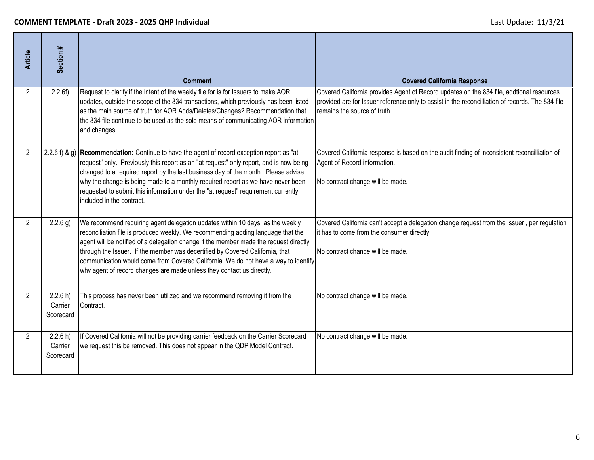| <b>Article</b>       | Section #                        | <b>Comment</b>                                                                                                                                                                                                                                                                                                                                                                                                                                                                                             | <b>Covered California Response</b>                                                                                                                                                                                           |
|----------------------|----------------------------------|------------------------------------------------------------------------------------------------------------------------------------------------------------------------------------------------------------------------------------------------------------------------------------------------------------------------------------------------------------------------------------------------------------------------------------------------------------------------------------------------------------|------------------------------------------------------------------------------------------------------------------------------------------------------------------------------------------------------------------------------|
| $\mathbf{2}^{\circ}$ | 2.2.6f                           | Request to clarify if the intent of the weekly file for is for Issuers to make AOR<br>updates, outside the scope of the 834 transactions, which previously has been listed<br>as the main source of truth for AOR Adds/Deletes/Changes? Recommendation that<br>the 834 file continue to be used as the sole means of communicating AOR information<br>and changes.                                                                                                                                         | Covered California provides Agent of Record updates on the 834 file, addtional resources<br>provided are for Issuer reference only to assist in the reconcilliation of records. The 834 file<br>remains the source of truth. |
| $2^{\circ}$          |                                  | 2.2.6 f) & g) Recommendation: Continue to have the agent of record exception report as "at<br>request" only. Previously this report as an "at request" only report, and is now being<br>changed to a required report by the last business day of the month. Please advise<br>why the change is being made to a monthly required report as we have never been<br>requested to submit this information under the "at request" requirement currently<br>included in the contract.                             | Covered California response is based on the audit finding of inconsistent reconcilliation of<br>Agent of Record information.<br>No contract change will be made.                                                             |
| $\overline{2}$       | $2.2.6$ g)                       | We recommend requiring agent delegation updates within 10 days, as the weekly<br>reconciliation file is produced weekly. We recommending adding language that the<br>agent will be notified of a delegation change if the member made the request directly<br>through the Issuer. If the member was decertified by Covered California, that<br>communication would come from Covered California. We do not have a way to identify<br>why agent of record changes are made unless they contact us directly. | Covered California can't accept a delegation change request from the Issuer, per regulation<br>it has to come from the consumer directly.<br>No contract change will be made.                                                |
| $\overline{2}$       | 2.2.6 h)<br>Carrier<br>Scorecard | This process has never been utilized and we recommend removing it from the<br>Contract.                                                                                                                                                                                                                                                                                                                                                                                                                    | No contract change will be made.                                                                                                                                                                                             |
| $\overline{2}$       | 2.2.6 h)<br>Carrier<br>Scorecard | If Covered California will not be providing carrier feedback on the Carrier Scorecard<br>we request this be removed. This does not appear in the QDP Model Contract.                                                                                                                                                                                                                                                                                                                                       | No contract change will be made.                                                                                                                                                                                             |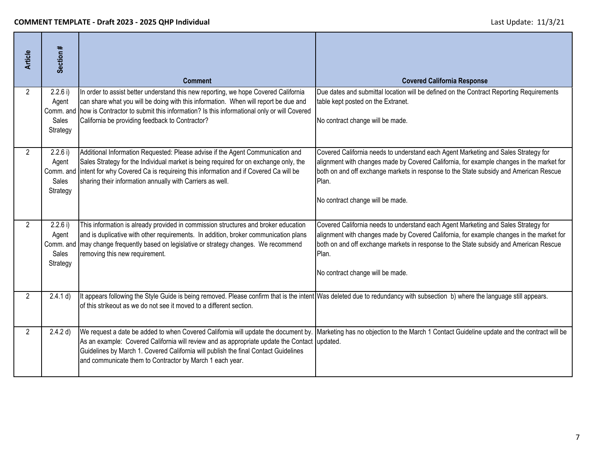| <b>Article</b> | Section #                                                  | <b>Comment</b>                                                                                                                                                                                                                                                                                                               | <b>Covered California Response</b>                                                                                                                                                                                                                                                                                   |
|----------------|------------------------------------------------------------|------------------------------------------------------------------------------------------------------------------------------------------------------------------------------------------------------------------------------------------------------------------------------------------------------------------------------|----------------------------------------------------------------------------------------------------------------------------------------------------------------------------------------------------------------------------------------------------------------------------------------------------------------------|
| $\overline{2}$ | 2.2.6 i)<br>Agent<br>Comm. and<br><b>Sales</b><br>Strategy | In order to assist better understand this new reporting, we hope Covered California<br>can share what you will be doing with this information. When will report be due and<br>how is Contractor to submit this information? Is this informational only or will Covered<br>California be providing feedback to Contractor?    | Due dates and submittal location will be defined on the Contract Reporting Requirements<br>table kept posted on the Extranet.<br>No contract change will be made.                                                                                                                                                    |
| $\overline{2}$ | 2.2.6 i)<br>Agent<br>Comm. and<br>Sales<br>Strategy        | Additional Information Requested: Please advise if the Agent Communication and<br>Sales Strategy for the Individual market is being required for on exchange only, the<br>intent for why Covered Ca is requireing this information and if Covered Ca will be<br>sharing their information annually with Carriers as well.    | Covered California needs to understand each Agent Marketing and Sales Strategy for<br>alignment with changes made by Covered California, for example changes in the market for<br>both on and off exchange markets in response to the State subsidy and American Rescue<br>Plan.<br>No contract change will be made. |
| $\mathcal{P}$  | 2.2.6 i)<br>Agent<br>Comm. and<br>Sales<br>Strategy        | This information is already provided in commission structures and broker education<br>and is duplicative with other requirements. In addition, broker communication plans<br>may change frequently based on legislative or strategy changes. We recommend<br>removing this new requirement.                                  | Covered California needs to understand each Agent Marketing and Sales Strategy for<br>alignment with changes made by Covered California, for example changes in the market for<br>both on and off exchange markets in response to the State subsidy and American Rescue<br>Plan.<br>No contract change will be made. |
| $\overline{2}$ | 2.4.1 d)                                                   | It appears following the Style Guide is being removed. Please confirm that is the intent Was deleted due to redundancy with subsection b) where the language still appears.<br>of this strikeout as we do not see it moved to a different section.                                                                           |                                                                                                                                                                                                                                                                                                                      |
| $\overline{2}$ | 2.4.2 d)                                                   | We request a date be added to when Covered California will update the document by.<br>As an example: Covered California will review and as appropriate update the Contact<br>Guidelines by March 1. Covered California will publish the final Contact Guidelines<br>and communicate them to Contractor by March 1 each year. | Marketing has no objection to the March 1 Contact Guideline update and the contract will be<br>updated.                                                                                                                                                                                                              |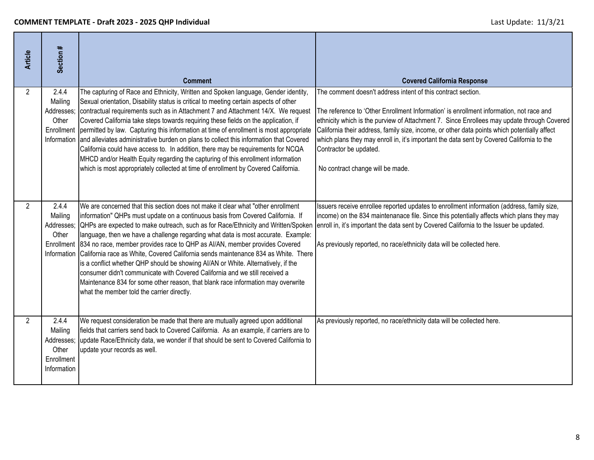| <b>Article</b> | Section #                                                            | <b>Comment</b>                                                                                                                                                                                                                                                                                                                                                                                                                                                                                                                                                                                                                                                                                                                                                                                                                                 | <b>Covered California Response</b>                                                                                                                                                                                                                                                                                                                                                                                                                                                                               |
|----------------|----------------------------------------------------------------------|------------------------------------------------------------------------------------------------------------------------------------------------------------------------------------------------------------------------------------------------------------------------------------------------------------------------------------------------------------------------------------------------------------------------------------------------------------------------------------------------------------------------------------------------------------------------------------------------------------------------------------------------------------------------------------------------------------------------------------------------------------------------------------------------------------------------------------------------|------------------------------------------------------------------------------------------------------------------------------------------------------------------------------------------------------------------------------------------------------------------------------------------------------------------------------------------------------------------------------------------------------------------------------------------------------------------------------------------------------------------|
| 2              | 2.4.4<br>Mailing<br>Addresses;<br>Other                              | The capturing of Race and Ethnicity, Written and Spoken language, Gender identity,<br>Sexual orientation, Disability status is critical to meeting certain aspects of other<br>contractual requirements such as in Attachment 7 and Attachment 14/X. We request<br>Covered California take steps towards requiring these fields on the application, if<br>Enrollment permitted by law. Capturing this information at time of enrollment is most appropriate<br>Information and alleviates administrative burden on plans to collect this information that Covered<br>California could have access to. In addition, there may be requirements for NCQA<br>MHCD and/or Health Equity regarding the capturing of this enrollment information<br>which is most appropriately collected at time of enrollment by Covered California.                | The comment doesn't address intent of this contract section.<br>The reference to 'Other Enrollment Information' is enrollment information, not race and<br>ethnicity which is the purview of Attachment 7. Since Enrollees may update through Covered<br>California their address, family size, income, or other data points which potentially affect<br>which plans they may enroll in, it's important the data sent by Covered California to the<br>Contractor be updated.<br>No contract change will be made. |
| $\overline{2}$ | 2.4.4<br>Mailing<br>Addresses;<br>Other                              | We are concerned that this section does not make it clear what "other enrollment<br>information" QHPs must update on a continuous basis from Covered California. If<br>QHPs are expected to make outreach, such as for Race/Ethnicity and Written/Spoken<br>language, then we have a challenge regarding what data is most accurate. Example:<br>Enrollment 834 no race, member provides race to QHP as AI/AN, member provides Covered<br>Information California race as White, Covered California sends maintenance 834 as White. There<br>is a conflict whether QHP should be showing AI/AN or White. Alternatively, if the<br>consumer didn't communicate with Covered California and we still received a<br>Maintenance 834 for some other reason, that blank race information may overwrite<br>what the member told the carrier directly. | Issuers receive enrollee reported updates to enrollment information (address, family size,<br>income) on the 834 maintenanace file. Since this potentially affects which plans they may<br>enroll in, it's important the data sent by Covered California to the Issuer be updated.<br>As previously reported, no race/ethnicity data will be collected here.                                                                                                                                                     |
| $\overline{2}$ | 2.4.4<br>Mailing<br>Addresses;<br>Other<br>Enrollment<br>Information | We request consideration be made that there are mutually agreed upon additional<br>fields that carriers send back to Covered California. As an example, if carriers are to<br>update Race/Ethnicity data, we wonder if that should be sent to Covered California to<br>update your records as well.                                                                                                                                                                                                                                                                                                                                                                                                                                                                                                                                            | As previously reported, no race/ethnicity data will be collected here.                                                                                                                                                                                                                                                                                                                                                                                                                                           |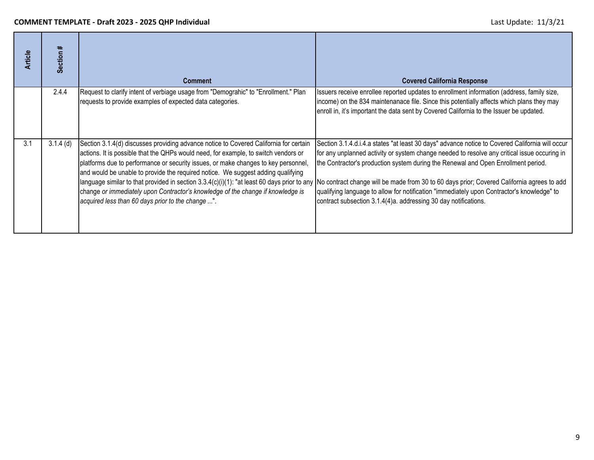| <b>Article</b> | ≠<br><b>Section</b> | <b>Comment</b>                                                                                                                                                                                                                                                                                                                                                                                                                                                                                 | <b>Covered California Response</b>                                                                                                                                                                                                                                                                                                                                                                                                                                                                                                                                                                                                              |
|----------------|---------------------|------------------------------------------------------------------------------------------------------------------------------------------------------------------------------------------------------------------------------------------------------------------------------------------------------------------------------------------------------------------------------------------------------------------------------------------------------------------------------------------------|-------------------------------------------------------------------------------------------------------------------------------------------------------------------------------------------------------------------------------------------------------------------------------------------------------------------------------------------------------------------------------------------------------------------------------------------------------------------------------------------------------------------------------------------------------------------------------------------------------------------------------------------------|
|                | 2.4.4               | Request to clarify intent of verbiage usage from "Demograhic" to "Enrollment." Plan<br>requests to provide examples of expected data categories.                                                                                                                                                                                                                                                                                                                                               | Issuers receive enrollee reported updates to enrollment information (address, family size,<br>income) on the 834 maintenanace file. Since this potentially affects which plans they may<br>enroll in, it's important the data sent by Covered California to the Issuer be updated.                                                                                                                                                                                                                                                                                                                                                              |
| 3.1            | $3.1.4$ (d)         | Section 3.1.4(d) discusses providing advance notice to Covered California for certain<br>actions. It is possible that the QHPs would need, for example, to switch vendors or<br>platforms due to performance or security issues, or make changes to key personnel,<br>and would be unable to provide the required notice. We suggest adding qualifying<br>change or immediately upon Contractor's knowledge of the change if knowledge is<br>acquired less than 60 days prior to the change ". | Section 3.1.4.d.i.4.a states "at least 30 days" advance notice to Covered California will occur<br>for any unplanned activity or system change needed to resolve any critical issue occuring in<br>the Contractor's production system during the Renewal and Open Enrollment period.<br>language similar to that provided in section 3.3.4(c)(i)(1): "at least 60 days prior to any No contract change will be made from 30 to 60 days prior; Covered California agrees to add<br>qualifying language to allow for notification "immediately upon Contractor's knowledge" to<br>contract subsection 3.1.4(4)a. addressing 30 day notifications. |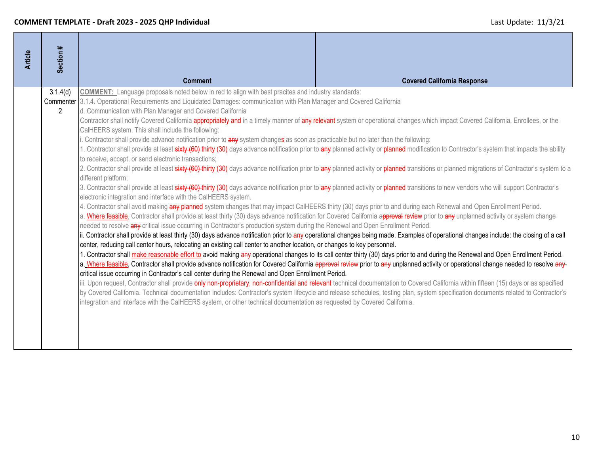| <b>Article</b> | Section #                  |                                                                                                                                                                                                                                                                                                                                                                                                                                                                                                                                                                                                                                                                                                                                                                                                                                                                                                                                                                                                                                                                                                                                                                                                                                                                                                                        |                                                                                                                                                                                                                                                                                                                                                                                                                                                                                                                                                                                                                                                                                                                                                                                                                                                                                                                                                                                                                                                                                                                                                                                                                                                                                                                                                                                                                                                                                                                                                                                                                                                                                                                                                                                                                                                                                                                          |
|----------------|----------------------------|------------------------------------------------------------------------------------------------------------------------------------------------------------------------------------------------------------------------------------------------------------------------------------------------------------------------------------------------------------------------------------------------------------------------------------------------------------------------------------------------------------------------------------------------------------------------------------------------------------------------------------------------------------------------------------------------------------------------------------------------------------------------------------------------------------------------------------------------------------------------------------------------------------------------------------------------------------------------------------------------------------------------------------------------------------------------------------------------------------------------------------------------------------------------------------------------------------------------------------------------------------------------------------------------------------------------|--------------------------------------------------------------------------------------------------------------------------------------------------------------------------------------------------------------------------------------------------------------------------------------------------------------------------------------------------------------------------------------------------------------------------------------------------------------------------------------------------------------------------------------------------------------------------------------------------------------------------------------------------------------------------------------------------------------------------------------------------------------------------------------------------------------------------------------------------------------------------------------------------------------------------------------------------------------------------------------------------------------------------------------------------------------------------------------------------------------------------------------------------------------------------------------------------------------------------------------------------------------------------------------------------------------------------------------------------------------------------------------------------------------------------------------------------------------------------------------------------------------------------------------------------------------------------------------------------------------------------------------------------------------------------------------------------------------------------------------------------------------------------------------------------------------------------------------------------------------------------------------------------------------------------|
|                |                            | <b>Comment</b>                                                                                                                                                                                                                                                                                                                                                                                                                                                                                                                                                                                                                                                                                                                                                                                                                                                                                                                                                                                                                                                                                                                                                                                                                                                                                                         | <b>Covered California Response</b>                                                                                                                                                                                                                                                                                                                                                                                                                                                                                                                                                                                                                                                                                                                                                                                                                                                                                                                                                                                                                                                                                                                                                                                                                                                                                                                                                                                                                                                                                                                                                                                                                                                                                                                                                                                                                                                                                       |
|                | 3.1.4(d)<br>$\overline{2}$ | <b>COMMENT:</b> Language proposals noted below in red to align with best pracites and industry standards:<br>Commenter 3.1.4. Operational Requirements and Liquidated Damages: communication with Plan Manager and Covered California<br>d. Communication with Plan Manager and Covered California<br>CalHEERS system. This shall include the following:<br>Contractor shall provide advance notification prior to any system changes as soon as practicable but no later than the following:<br>to receive, accept, or send electronic transactions;<br>different platform;<br>electronic integration and interface with the CalHEERS system.<br>4. Contractor shall avoid making any planned system changes that may impact CalHEERS thirty (30) days prior to and during each Renewal and Open Enrollment Period.<br>needed to resolve any critical issue occurring in Contractor's production system during the Renewal and Open Enrollment Period.<br>center, reducing call center hours, relocating an existing call center to another location, or changes to key personnel.<br>critical issue occurring in Contractor's call center during the Renewal and Open Enrollment Period.<br>integration and interface with the CalHEERS system, or other technical documentation as requested by Covered California. | Contractor shall notify Covered California appropriately and in a timely manner of any relevant system or operational changes which impact Covered California, Enrollees, or the<br>. Contractor shall provide at least sixty (60) thirty (30) days advance notification prior to any planned activity or planned modification to Contractor's system that impacts the ability<br>2. Contractor shall provide at least sixty (60) thirty (30) days advance notification prior to any planned activity or planned transitions or planned migrations of Contractor's system to a<br>3. Contractor shall provide at least sixty (60) thirty (30) days advance notification prior to any planned activity or planned transitions to new vendors who will support Contractor's<br>a. Where feasible, Contractor shall provide at least thirty (30) days advance notification for Covered California approval review prior to any unplanned activity or system change<br>ii. Contractor shall provide at least thirty (30) days advance notification prior to any operational changes being made. Examples of operational changes include: the closing of a call<br>1. Contractor shall make reasonable effort to avoid making any operational changes to its call center thirty (30) days prior to and during the Renewal and Open Enrollment Period.<br>a. Where feasible, Contractor shall provide advance notification for Covered California approval review prior to any unplanned activity or operational change needed to resolve any-<br>iii. Upon request, Contractor shall provide only non-proprietary, non-confidential and relevant technical documentation to Covered California within fifteen (15) days or as specified<br>by Covered California. Technical documentation includes: Contractor's system lifecycle and release schedules, testing plan, system specification documents related to Contractor's |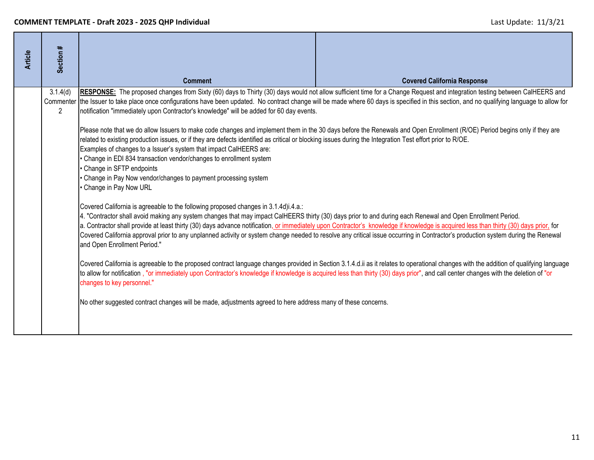| Section #            | <b>Comment</b>                                                                                                                                                                                                                                                                                                                                                                                                                                                                                                                                                                                                                                                  | <b>Covered California Response</b>                                                                                                                                                                                                                                                                                                                                                                       |  |
|----------------------|-----------------------------------------------------------------------------------------------------------------------------------------------------------------------------------------------------------------------------------------------------------------------------------------------------------------------------------------------------------------------------------------------------------------------------------------------------------------------------------------------------------------------------------------------------------------------------------------------------------------------------------------------------------------|----------------------------------------------------------------------------------------------------------------------------------------------------------------------------------------------------------------------------------------------------------------------------------------------------------------------------------------------------------------------------------------------------------|--|
| 3.1.4(d)             |                                                                                                                                                                                                                                                                                                                                                                                                                                                                                                                                                                                                                                                                 | RESPONSE: The proposed changes from Sixty (60) days to Thirty (30) days would not allow sufficient time for a Change Request and integration testing between CalHEERS and                                                                                                                                                                                                                                |  |
| $\mathbf{2}^{\circ}$ |                                                                                                                                                                                                                                                                                                                                                                                                                                                                                                                                                                                                                                                                 |                                                                                                                                                                                                                                                                                                                                                                                                          |  |
|                      | Please note that we do allow Issuers to make code changes and implement them in the 30 days before the Renewals and Open Enrollment (R/OE) Period begins only if they are<br>related to existing production issues, or if they are defects identified as critical or blocking issues during the Integration Test effort prior to R/OE.<br>Examples of changes to a Issuer's system that impact CalHEERS are:<br>Change in EDI 834 transaction vendor/changes to enrollment system<br>Change in SFTP endpoints<br>Change in Pay Now vendor/changes to payment processing system<br>Change in Pay Now URL                                                         |                                                                                                                                                                                                                                                                                                                                                                                                          |  |
|                      | Covered California is agreeable to the following proposed changes in 3.1.4d)i.4.a.:<br>4. "Contractor shall avoid making any system changes that may impact CalHEERS thirty (30) days prior to and during each Renewal and Open Enrollment Period.<br>a. Contractor shall provide at least thirty (30) days advance notification, or immediately upon Contractor's knowledge if knowledge is acquired less than thirty (30) days prior, for<br>Covered California approval prior to any unplanned activity or system change needed to resolve any critical issue occurring in Contractor's production system during the Renewal<br>and Open Enrollment Period." |                                                                                                                                                                                                                                                                                                                                                                                                          |  |
|                      | Covered California is agreeable to the proposed contract language changes provided in Section 3.1.4.d.ii as it relates to operational changes with the addition of qualifying language<br>to allow for notification, "or immediately upon Contractor's knowledge if knowledge is acquired less than thirty (30) days prior", and call center changes with the deletion of "or<br>changes to key personnel."                                                                                                                                                                                                                                                     |                                                                                                                                                                                                                                                                                                                                                                                                          |  |
|                      |                                                                                                                                                                                                                                                                                                                                                                                                                                                                                                                                                                                                                                                                 |                                                                                                                                                                                                                                                                                                                                                                                                          |  |
|                      |                                                                                                                                                                                                                                                                                                                                                                                                                                                                                                                                                                                                                                                                 | Commenter the Issuer to take place once configurations have been updated. No contract change will be made where 60 days is specified in this section, and no qualifying language to allow for<br>notification "immediately upon Contractor's knowledge" will be added for 60 day events.<br>No other suggested contract changes will be made, adjustments agreed to here address many of these concerns. |  |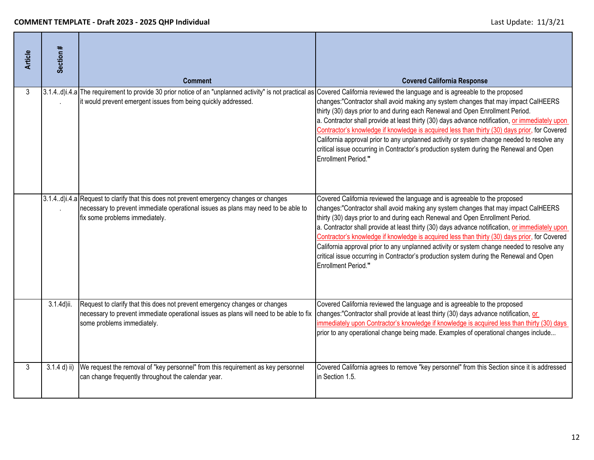| <b>Article</b> | Section #      | <b>Comment</b>                                                                                                                                                                                                  | <b>Covered California Response</b>                                                                                                                                                                                                                                                                                                                                                                                                                                                                                                                                                                                                                                          |
|----------------|----------------|-----------------------------------------------------------------------------------------------------------------------------------------------------------------------------------------------------------------|-----------------------------------------------------------------------------------------------------------------------------------------------------------------------------------------------------------------------------------------------------------------------------------------------------------------------------------------------------------------------------------------------------------------------------------------------------------------------------------------------------------------------------------------------------------------------------------------------------------------------------------------------------------------------------|
| 3              |                | 3.1.4d)i.4.a The requirement to provide 30 prior notice of an "unplanned activity" is not practical as<br>it would prevent emergent issues from being quickly addressed.                                        | Covered California reviewed the language and is agreeable to the proposed<br>changes: "Contractor shall avoid making any system changes that may impact CalHEERS<br>thirty (30) days prior to and during each Renewal and Open Enrollment Period.<br>a. Contractor shall provide at least thirty (30) days advance notification, or immediately upon<br>Contractor's knowledge if knowledge is acquired less than thirty (30) days prior, for Covered<br>California approval prior to any unplanned activity or system change needed to resolve any<br>critical issue occurring in Contractor's production system during the Renewal and Open<br><b>Enrollment Period."</b> |
|                |                | 3.1.4.d)i.4.a Request to clarify that this does not prevent emergency changes or changes<br>necessary to prevent immediate operational issues as plans may need to be able to<br>fix some problems immediately. | Covered California reviewed the language and is agreeable to the proposed<br>changes:"Contractor shall avoid making any system changes that may impact CalHEERS<br>thirty (30) days prior to and during each Renewal and Open Enrollment Period.<br>a. Contractor shall provide at least thirty (30) days advance notification, or immediately upon<br>Contractor's knowledge if knowledge is acquired less than thirty (30) days prior, for Covered<br>California approval prior to any unplanned activity or system change needed to resolve any<br>critical issue occurring in Contractor's production system during the Renewal and Open<br><b>Enrollment Period."</b>  |
|                | 3.1.4d)ii.     | Request to clarify that this does not prevent emergency changes or changes<br>necessary to prevent immediate operational issues as plans will need to be able to fix<br>some problems immediately.              | Covered California reviewed the language and is agreeable to the proposed<br>changes:"Contractor shall provide at least thirty (30) days advance notification, or<br>immediately upon Contractor's knowledge if knowledge is acquired less than thirty (30) days<br>prior to any operational change being made. Examples of operational changes include                                                                                                                                                                                                                                                                                                                     |
| 3              | $3.1.4$ d) ii) | We request the removal of "key personnel" from this requirement as key personnel<br>can change frequently throughout the calendar year.                                                                         | Covered California agrees to remove "key personnel" from this Section since it is addressed<br>in Section 1.5.                                                                                                                                                                                                                                                                                                                                                                                                                                                                                                                                                              |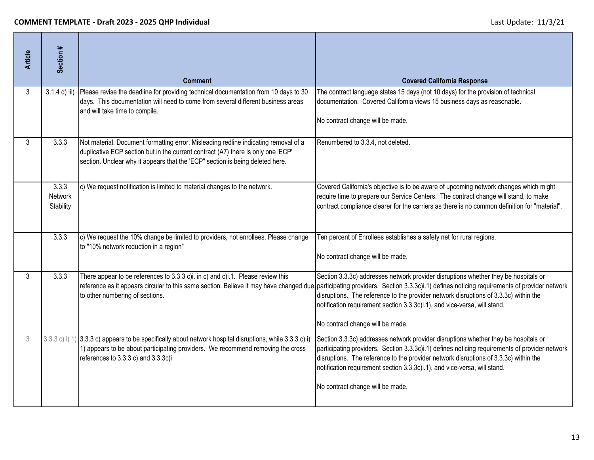| <b>Article</b> | Section #                     | <b>Comment</b>                                                                                                                                                                                                                                           | <b>Covered California Response</b>                                                                                                                                                                                                                                                                                                                                                                                                                                                    |
|----------------|-------------------------------|----------------------------------------------------------------------------------------------------------------------------------------------------------------------------------------------------------------------------------------------------------|---------------------------------------------------------------------------------------------------------------------------------------------------------------------------------------------------------------------------------------------------------------------------------------------------------------------------------------------------------------------------------------------------------------------------------------------------------------------------------------|
| 3              | $3.1.4$ d) iii)               | Please revise the deadline for providing technical documentation from 10 days to 30<br>days. This documentation will need to come from several different business areas<br>and will take time to compile.                                                | The contract language states 15 days (not 10 days) for the provision of technical<br>documentation. Covered California views 15 business days as reasonable.<br>No contract change will be made.                                                                                                                                                                                                                                                                                      |
| 3              | 3.3.3                         | Not material. Document formatting error. Misleading redline indicating removal of a<br>duplicative ECP section but in the current contract (A7) there is only one 'ECP'<br>section. Unclear why it appears that the 'ECP" section is being deleted here. | Renumbered to 3.3.4, not deleted.                                                                                                                                                                                                                                                                                                                                                                                                                                                     |
|                | 3.3.3<br>Network<br>Stability | c) We request notification is limited to material changes to the network.                                                                                                                                                                                | Covered California's objective is to be aware of upcoming network changes which might<br>require time to prepare our Service Centers. The contract change will stand, to make<br>contract compliance clearer for the carriers as there is no common definition for "material".                                                                                                                                                                                                        |
|                | 3.3.3                         | c) We request the 10% change be limited to providers, not enrollees. Please change<br>to "10% network reduction in a region"                                                                                                                             | Ten percent of Enrollees establishes a safety net for rural regions.<br>No contract change will be made.                                                                                                                                                                                                                                                                                                                                                                              |
| 3              | 3.3.3                         | There appear to be references to 3.3.3 c)i. in c) and c)i.1. Please review this<br>to other numbering of sections.                                                                                                                                       | Section 3.3.3c) addresses network provider disruptions whether they be hospitals or<br>reference as it appears circular to this same section. Believe it may have changed due participating providers. Section 3.3.3c)i.1) defines noticing requirements of provider network<br>disruptions. The reference to the provider network disruptions of 3.3.3c) within the<br>notification requirement section 3.3.3c)i.1), and vice-versa, will stand.<br>No contract change will be made. |
| 3              |                               | 3.3.3 c) i) 1) 3.3.3 c) appears to be specifically about network hospital disruptions, while 3.3.3 c) i)<br>1) appears to be about participating providers. We recommend removing the cross<br>references to 3.3.3 c) and 3.3.3c)i                       | Section 3.3.3c) addresses network provider disruptions whether they be hospitals or<br>participating providers. Section 3.3.3c)i.1) defines noticing requirements of provider network<br>disruptions. The reference to the provider network disruptions of 3.3.3c) within the<br>notification requirement section 3.3.3c)i.1), and vice-versa, will stand.<br>No contract change will be made.                                                                                        |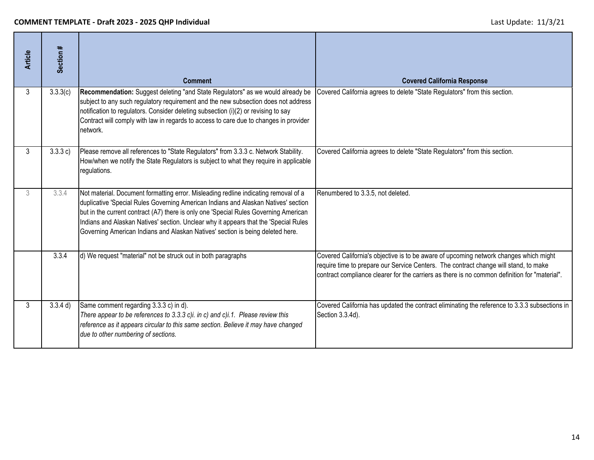| <b>Article</b> | Section # | <b>Comment</b>                                                                                                                                                                                                                                                                                                                                                                                                                              | <b>Covered California Response</b>                                                                                                                                                                                                                                             |
|----------------|-----------|---------------------------------------------------------------------------------------------------------------------------------------------------------------------------------------------------------------------------------------------------------------------------------------------------------------------------------------------------------------------------------------------------------------------------------------------|--------------------------------------------------------------------------------------------------------------------------------------------------------------------------------------------------------------------------------------------------------------------------------|
| 3              | 3.3.3(c)  | Recommendation: Suggest deleting "and State Regulators" as we would already be<br>subject to any such regulatory requirement and the new subsection does not address<br>notification to regulators. Consider deleting subsection (i)(2) or revising to say<br>Contract will comply with law in regards to access to care due to changes in provider<br>network.                                                                             | Covered California agrees to delete "State Regulators" from this section.                                                                                                                                                                                                      |
| 3              | 3.3.3 c)  | Please remove all references to "State Regulators" from 3.3.3 c. Network Stability.<br>How/when we notify the State Regulators is subject to what they require in applicable<br>regulations.                                                                                                                                                                                                                                                | Covered California agrees to delete "State Regulators" from this section.                                                                                                                                                                                                      |
| 3              | 3.3.4     | Not material. Document formatting error. Misleading redline indicating removal of a<br>duplicative 'Special Rules Governing American Indians and Alaskan Natives' section<br>but in the current contract (A7) there is only one 'Special Rules Governing American<br>Indians and Alaskan Natives' section. Unclear why it appears that the 'Special Rules<br>Governing American Indians and Alaskan Natives' section is being deleted here. | Renumbered to 3.3.5, not deleted.                                                                                                                                                                                                                                              |
|                | 3.3.4     | d) We request "material" not be struck out in both paragraphs                                                                                                                                                                                                                                                                                                                                                                               | Covered California's objective is to be aware of upcoming network changes which might<br>require time to prepare our Service Centers. The contract change will stand, to make<br>contract compliance clearer for the carriers as there is no common definition for "material". |
| 3              | 3.3.4 d)  | Same comment regarding 3.3.3 c) in d).<br>There appear to be references to 3.3.3 c)i. in c) and c)i.1. Please review this<br>reference as it appears circular to this same section. Believe it may have changed<br>due to other numbering of sections.                                                                                                                                                                                      | Covered California has updated the contract eliminating the reference to 3.3.3 subsections in<br>Section 3.3.4d).                                                                                                                                                              |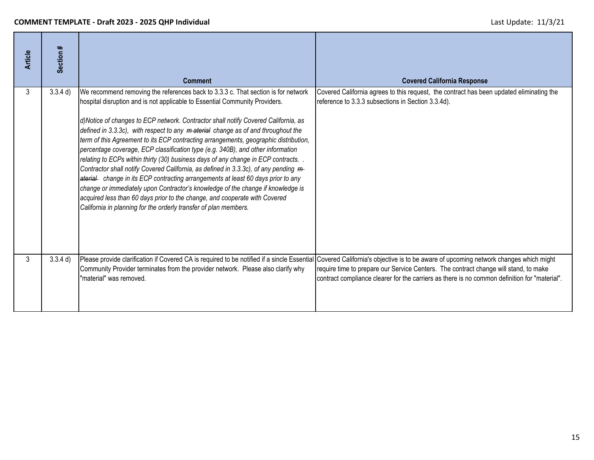| <b>Article</b> | Section # | <b>Comment</b>                                                                                                                                                                                                                                                                                                                                                                                                                                                                                                                                                                                                                                                                                                                                                                                                                                                                                                                                                                                                             | <b>Covered California Response</b>                                                                                                                                                                                                                                                                                                                                         |
|----------------|-----------|----------------------------------------------------------------------------------------------------------------------------------------------------------------------------------------------------------------------------------------------------------------------------------------------------------------------------------------------------------------------------------------------------------------------------------------------------------------------------------------------------------------------------------------------------------------------------------------------------------------------------------------------------------------------------------------------------------------------------------------------------------------------------------------------------------------------------------------------------------------------------------------------------------------------------------------------------------------------------------------------------------------------------|----------------------------------------------------------------------------------------------------------------------------------------------------------------------------------------------------------------------------------------------------------------------------------------------------------------------------------------------------------------------------|
| 3              | 3.3.4 d)  | We recommend removing the references back to 3.3.3 c. That section is for network<br>hospital disruption and is not applicable to Essential Community Providers.<br>d)Notice of changes to ECP network. Contractor shall notify Covered California, as<br>defined in 3.3.3c), with respect to any material change as of and throughout the<br>term of this Agreement to its ECP contracting arrangements, geographic distribution,<br>percentage coverage, ECP classification type (e.g. 340B), and other information<br>relating to ECPs within thirty (30) business days of any change in ECP contracts<br>Contractor shall notify Covered California, as defined in 3.3.3c), of any pending m-<br>aterial change in its ECP contracting arrangements at least 60 days prior to any<br>change or immediately upon Contractor's knowledge of the change if knowledge is<br>acquired less than 60 days prior to the change, and cooperate with Covered<br>California in planning for the orderly transfer of plan members. | Covered California agrees to this request, the contract has been updated eliminating the<br>reference to 3.3.3 subsections in Section 3.3.4d).                                                                                                                                                                                                                             |
| 3              | 3.3.4 d)  | Community Provider terminates from the provider network. Please also clarify why<br>"material" was removed.                                                                                                                                                                                                                                                                                                                                                                                                                                                                                                                                                                                                                                                                                                                                                                                                                                                                                                                | Please provide clarification if Covered CA is required to be notified if a sincle Essential Covered California's objective is to be aware of upcoming network changes which might<br>require time to prepare our Service Centers. The contract change will stand, to make<br>contract compliance clearer for the carriers as there is no common definition for "material". |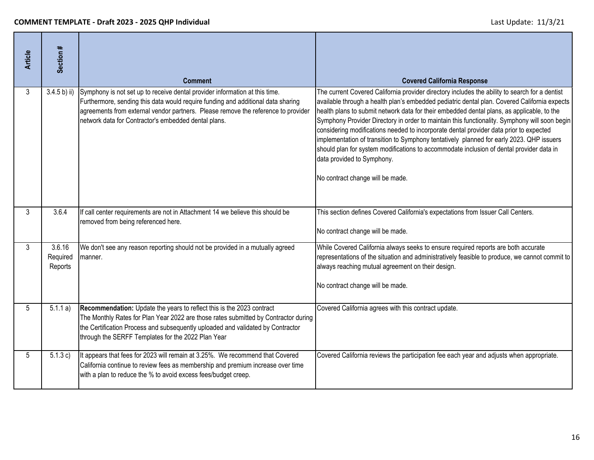| <b>Article</b> | Section #                     | <b>Comment</b>                                                                                                                                                                                                                                                                                               | <b>Covered California Response</b>                                                                                                                                                                                                                                                                                                                                                                                                                                                                                                                                                                                                                                                                                                                |
|----------------|-------------------------------|--------------------------------------------------------------------------------------------------------------------------------------------------------------------------------------------------------------------------------------------------------------------------------------------------------------|---------------------------------------------------------------------------------------------------------------------------------------------------------------------------------------------------------------------------------------------------------------------------------------------------------------------------------------------------------------------------------------------------------------------------------------------------------------------------------------------------------------------------------------------------------------------------------------------------------------------------------------------------------------------------------------------------------------------------------------------------|
| 3              | 3.4.5 b) ii)                  | Symphony is not set up to receive dental provider information at this time.<br>Furthermore, sending this data would require funding and additional data sharing<br>agreements from external vendor partners. Please remove the reference to provider<br>network data for Contractor's embedded dental plans. | The current Covered California provider directory includes the ability to search for a dentist<br>available through a health plan's embedded pediatric dental plan. Covered California expects<br>health plans to submit network data for their embedded dental plans, as applicable, to the<br>Symphony Provider Directory in order to maintain this functionality. Symphony will soon begin<br>considering modifications needed to incorporate dental provider data prior to expected<br>implementation of transition to Symphony tentatively planned for early 2023. QHP issuers<br>should plan for system modifications to accommodate inclusion of dental provider data in<br>data provided to Symphony.<br>No contract change will be made. |
| 3              | 3.6.4                         | If call center requirements are not in Attachment 14 we believe this should be<br>removed from being referenced here.                                                                                                                                                                                        | This section defines Covered California's expectations from Issuer Call Centers.<br>No contract change will be made.                                                                                                                                                                                                                                                                                                                                                                                                                                                                                                                                                                                                                              |
| 3              | 3.6.16<br>Required<br>Reports | We don't see any reason reporting should not be provided in a mutually agreed<br>manner.                                                                                                                                                                                                                     | While Covered California always seeks to ensure required reports are both accurate<br>representations of the situation and administratively feasible to produce, we cannot commit to<br>always reaching mutual agreement on their design.<br>No contract change will be made.                                                                                                                                                                                                                                                                                                                                                                                                                                                                     |
| 5              | 5.1.1 a)                      | Recommendation: Update the years to reflect this is the 2023 contract<br>The Monthly Rates for Plan Year 2022 are those rates submitted by Contractor during<br>the Certification Process and subsequently uploaded and validated by Contractor<br>through the SERFF Templates for the 2022 Plan Year        | Covered California agrees with this contract update.                                                                                                                                                                                                                                                                                                                                                                                                                                                                                                                                                                                                                                                                                              |
| 5              | 5.1.3 c)                      | It appears that fees for 2023 will remain at 3.25%. We recommend that Covered<br>California continue to review fees as membership and premium increase over time<br>with a plan to reduce the % to avoid excess fees/budget creep.                                                                           | Covered California reviews the participation fee each year and adjusts when appropriate.                                                                                                                                                                                                                                                                                                                                                                                                                                                                                                                                                                                                                                                          |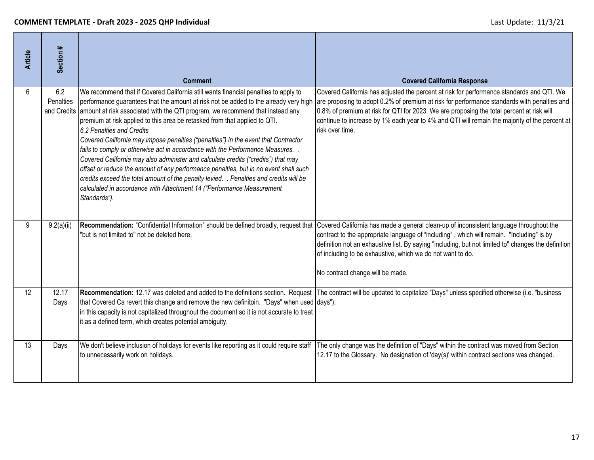| <b>Article</b> | Section #                       | <b>Comment</b>                                                                                                                                                                                                                                                                                                                                                                                                                                                                                                                                                                                                                                                                                                                                                                                                                                                                                                   | <b>Covered California Response</b>                                                                                                                                                                                                                                                                                                                                                                        |
|----------------|---------------------------------|------------------------------------------------------------------------------------------------------------------------------------------------------------------------------------------------------------------------------------------------------------------------------------------------------------------------------------------------------------------------------------------------------------------------------------------------------------------------------------------------------------------------------------------------------------------------------------------------------------------------------------------------------------------------------------------------------------------------------------------------------------------------------------------------------------------------------------------------------------------------------------------------------------------|-----------------------------------------------------------------------------------------------------------------------------------------------------------------------------------------------------------------------------------------------------------------------------------------------------------------------------------------------------------------------------------------------------------|
| 6              | 6.2<br>Penalties<br>and Credits | We recommend that if Covered California still wants financial penalties to apply to<br>performance guarantees that the amount at risk not be added to the already very high<br>amount at risk associated with the QTI program, we recommend that instead any<br>premium at risk applied to this area be retasked from that applied to QTI.<br>6.2 Penalties and Credits<br>Covered California may impose penalties ("penalties") in the event that Contractor<br>fails to comply or otherwise act in accordance with the Performance Measures. .<br>Covered California may also administer and calculate credits ("credits") that may<br>offset or reduce the amount of any performance penalties, but in no event shall such<br>credits exceed the total amount of the penalty levied. . Penalties and credits will be<br>calculated in accordance with Attachment 14 ("Performance Measurement<br>Standards"). | Covered California has adjusted the percent at risk for performance standards and QTI. We<br>are proposing to adopt 0.2% of premium at risk for performance standards with penalties and<br>0.8% of premium at risk for QTI for 2023. We are proposing the total percent at risk will<br>continue to increase by 1% each year to 4% and QTI will remain the majority of the percent at<br>risk over time. |
| 9              | 9.2(a)(ii)                      | Recommendation: "Confidential Information" should be defined broadly, request that<br>"but is not limited to" not be deleted here.                                                                                                                                                                                                                                                                                                                                                                                                                                                                                                                                                                                                                                                                                                                                                                               | Covered California has made a general clean-up of inconsistent language throughout the<br>contract to the appropriate language of "including", which will remain. "Including" is by<br>definition not an exhaustive list. By saying "including, but not limited to" changes the definition<br>of including to be exhaustive, which we do not want to do.<br>No contract change will be made.              |
| 12             | 12.17<br>Days                   | that Covered Ca revert this change and remove the new definitoin. "Days" when used days").<br>in this capacity is not capitalized throughout the document so it is not accurate to treat<br>it as a defined term, which creates potential ambiguity.                                                                                                                                                                                                                                                                                                                                                                                                                                                                                                                                                                                                                                                             | Recommendation: 12.17 was deleted and added to the definitions section. Request The contract will be updated to capitalize "Days" unless specified otherwise (i.e. "business                                                                                                                                                                                                                              |
| 13             | Days                            | We don't believe inclusion of holidays for events like reporting as it could require staff<br>to unnecessarily work on holidays.                                                                                                                                                                                                                                                                                                                                                                                                                                                                                                                                                                                                                                                                                                                                                                                 | The only change was the definition of "Days" within the contract was moved from Section<br>12.17 to the Glossary. No designation of 'day(s)' within contract sections was changed.                                                                                                                                                                                                                        |